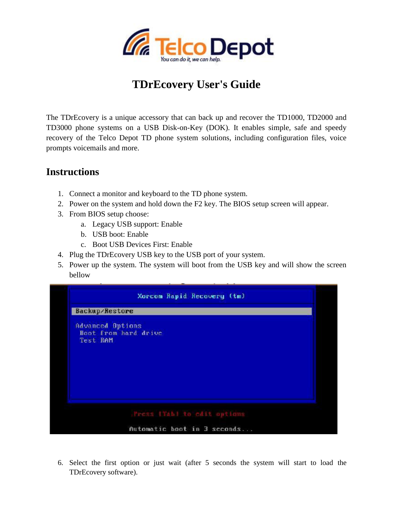

## **TDrEcovery User's Guide**

The TDrEcovery is a unique accessory that can back up and recover the TD1000, TD2000 and TD3000 phone systems on a USB Disk-on-Key (DOK). It enables simple, safe and speedy recovery of the Telco Depot TD phone system solutions, including configuration files, voice prompts voicemails and more.

## **Instructions**

- 1. Connect a monitor and keyboard to the TD phone system.
- 2. Power on the system and hold down the F2 key. The BIOS setup screen will appear.
- 3. From BIOS setup choose:
	- a. Legacy USB support: Enable
	- b. USB boot: Enable
	- c. Boot USB Devices First: Enable
- 4. Plug the TDrEcovery USB key to the USB port of your system.
- 5. Power up the system. The system will boot from the USB key and will show the screen bellow



6. Select the first option or just wait (after 5 seconds the system will start to load the TDrEcovery software).